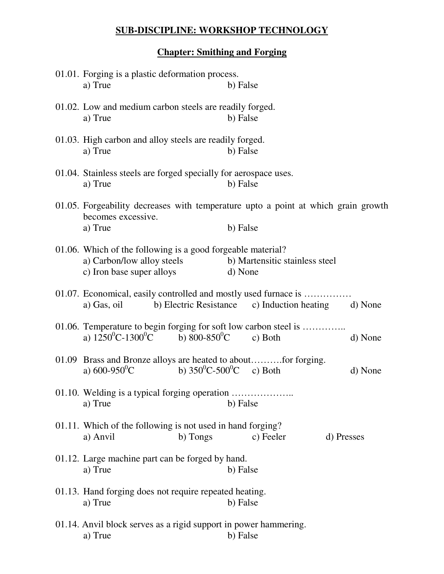## **SUB-DISCIPLINE: WORKSHOP TECHNOLOGY**

## **Chapter: Smithing and Forging**

| 01.01. Forging is a plastic deformation process.<br>a) True                                                                                   | b) False                                                 |  |  |  |  |
|-----------------------------------------------------------------------------------------------------------------------------------------------|----------------------------------------------------------|--|--|--|--|
| 01.02. Low and medium carbon steels are readily forged.<br>a) True                                                                            | b) False                                                 |  |  |  |  |
| 01.03. High carbon and alloy steels are readily forged.<br>a) True                                                                            | b) False                                                 |  |  |  |  |
| 01.04. Stainless steels are forged specially for aerospace uses.<br>a) True                                                                   | b) False                                                 |  |  |  |  |
| 01.05. Forgeability decreases with temperature upto a point at which grain growth<br>becomes excessive.<br>a) True<br>b) False                |                                                          |  |  |  |  |
| 01.06. Which of the following is a good forgeable material?<br>a) Carbon/low alloy steels<br>c) Iron base super alloys                        | b) Martensitic stainless steel<br>d) None                |  |  |  |  |
| 01.07. Economical, easily controlled and mostly used furnace is<br>a) Gas, oil                                                                | b) Electric Resistance c) Induction heating d) None      |  |  |  |  |
| 01.06. Temperature to begin forging for soft low carbon steel is<br>a) $1250^{\circ}$ C-1300 <sup>°</sup> C b) 800-850 <sup>°</sup> C c) Both | d) None                                                  |  |  |  |  |
| 01.09 Brass and Bronze alloys are heated to aboutfor forging.<br>a) $600-950^{\circ}$ C                                                       | b) $350^{\circ}$ C-500 <sup>°</sup> C c) Both<br>d) None |  |  |  |  |
| 01.10. Welding is a typical forging operation<br>a) True                                                                                      | b) False                                                 |  |  |  |  |
| 01.11. Which of the following is not used in hand forging?<br>a) Anvil<br>b) Tongs                                                            | c) Feeler<br>d) Presses                                  |  |  |  |  |
| 01.12. Large machine part can be forged by hand.<br>a) True                                                                                   | b) False                                                 |  |  |  |  |
| 01.13. Hand forging does not require repeated heating.<br>a) True                                                                             | b) False                                                 |  |  |  |  |
| 01.14. Anvil block serves as a rigid support in power hammering.<br>a) True                                                                   | b) False                                                 |  |  |  |  |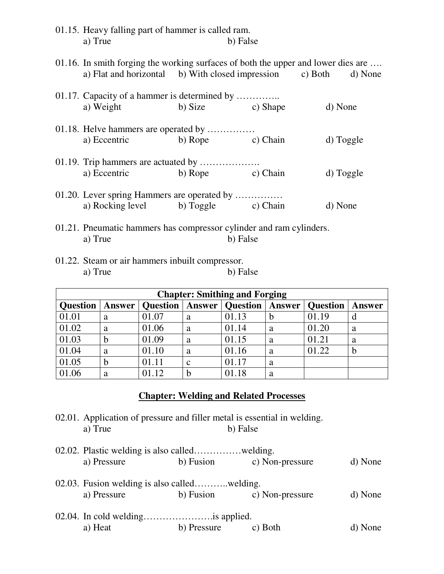| 01.15. Heavy falling part of hammer is called ram.                                                                                                    |  |                  |           |  |  |
|-------------------------------------------------------------------------------------------------------------------------------------------------------|--|------------------|-----------|--|--|
| a) True                                                                                                                                               |  | b) False         |           |  |  |
| 01.16. In smith forging the working surfaces of both the upper and lower dies are<br>a) Flat and horizontal b) With closed impression c) Both d) None |  |                  |           |  |  |
| 01.17. Capacity of a hammer is determined by                                                                                                          |  |                  |           |  |  |
| a) Weight                                                                                                                                             |  | b) Size c) Shape | d) None   |  |  |
| 01.18. Helve hammers are operated by                                                                                                                  |  |                  |           |  |  |
| a) Eccentric b) Rope c) Chain                                                                                                                         |  |                  | d) Toggle |  |  |
| 01.19. Trip hammers are actuated by                                                                                                                   |  |                  |           |  |  |
| a) Eccentric b) Rope c) Chain                                                                                                                         |  |                  | d) Toggle |  |  |
| 01.20. Lever spring Hammers are operated by                                                                                                           |  |                  |           |  |  |
| a) Rocking level b) Toggle c) Chain                                                                                                                   |  |                  | d) None   |  |  |
| 01.21. Pneumatic hammers has compressor cylinder and ram cylinders.                                                                                   |  |                  |           |  |  |

01.22. Steam or air hammers inbuilt compressor. a) True b) False

a) True b) False

| <b>Chapter: Smithing and Forging</b> |               |                 |             |                          |        |                 |        |  |
|--------------------------------------|---------------|-----------------|-------------|--------------------------|--------|-----------------|--------|--|
| <b>Question</b>                      | <b>Answer</b> | <b>Question</b> |             | <b>Answer</b>   Question | Answer | <b>Question</b> | Answer |  |
| 01.01                                | a             | 01.07           | a           | 01.13                    | b      | 01.19           |        |  |
| 01.02                                | a             | 01.06           | a           | 01.14                    | a      | 01.20           | a      |  |
| 01.03                                | b             | 01.09           | a           | 01.15                    | a      | 01.21           | a      |  |
| 01.04                                | a             | 01.10           | a           | 01.16                    | a      | 01.22           | b      |  |
| 01.05                                | h             | 01.11           | $\mathbf c$ | 01.17                    | a      |                 |        |  |
| 01.06                                | а             | 01.12           |             | 01.18                    | a      |                 |        |  |

### **Chapter: Welding and Related Processes**

02.01. Application of pressure and filler metal is essential in welding.<br>a) True b) False b) False

| a) Pressure                                  | b) Fusion   | c) Non-pressure | d) None |
|----------------------------------------------|-------------|-----------------|---------|
|                                              |             |                 |         |
| 02.03. Fusion welding is also calledwelding. |             |                 |         |
| a) Pressure                                  | b) Fusion   | c) Non-pressure | d) None |
|                                              |             |                 |         |
|                                              |             |                 |         |
| a) Heat                                      | b) Pressure | c) Both         | d) None |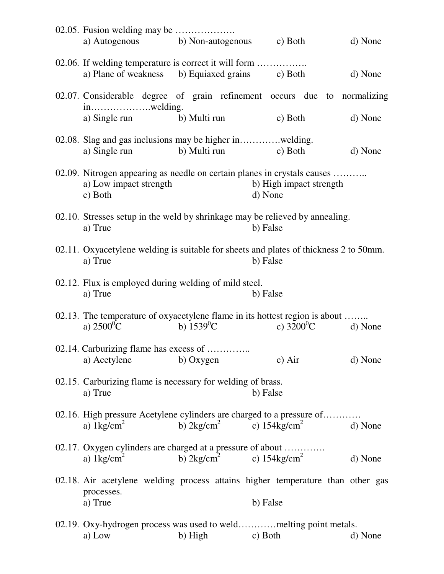| a) Autogenous b) Non-autogenous c) Both                                                                  |                                             |                                                                                                                | d) None |
|----------------------------------------------------------------------------------------------------------|---------------------------------------------|----------------------------------------------------------------------------------------------------------------|---------|
| 02.06. If welding temperature is correct it will form<br>a) Plane of weakness b) Equiaxed grains c) Both |                                             |                                                                                                                | d) None |
|                                                                                                          |                                             | 02.07. Considerable degree of grain refinement occurs due to normalizing                                       |         |
| a) Single run                                                                                            | b) Multi run                                | c) Both                                                                                                        | d) None |
| a) Single run                                                                                            | b) Multi run                                | c) Both                                                                                                        | d) None |
| a) Low impact strength<br>c) Both                                                                        |                                             | 02.09. Nitrogen appearing as needle on certain planes in crystals causes<br>b) High impact strength<br>d) None |         |
| a) True                                                                                                  |                                             | 02.10. Stresses setup in the weld by shrinkage may be relieved by annealing.<br>b) False                       |         |
| a) True                                                                                                  |                                             | 02.11. Oxyacetylene welding is suitable for sheets and plates of thickness 2 to 50mm.<br>b) False              |         |
| 02.12. Flux is employed during welding of mild steel.<br>a) True                                         |                                             | b) False                                                                                                       |         |
| a) $2500^0C$                                                                                             | b) $1539^{\circ}$ C                         | 02.13. The temperature of oxyacetylene flame in its hottest region is about<br>c) $3200^0C$                    | d) None |
| 02.14. Carburizing flame has excess of                                                                   |                                             |                                                                                                                |         |
| a) Acetylene                                                                                             | b) Oxygen                                   | c) Air                                                                                                         | d) None |
| 02.15. Carburizing flame is necessary for welding of brass.<br>a) True                                   |                                             | b) False                                                                                                       |         |
| a) $1\text{kg/cm}^2$                                                                                     | b) $2\text{kg/cm}^2$                        | 02.16. High pressure Acetylene cylinders are charged to a pressure of<br>c) $154 \text{kg/cm}^2$               | d) None |
| 02.17. Oxygen cylinders are charged at a pressure of about<br>a) $1\text{kg/cm}^2$                       | b) $2\text{kg/cm}^2$ c) $154\text{kg/cm}^2$ |                                                                                                                | d) None |
| processes.                                                                                               |                                             | 02.18. Air acetylene welding process attains higher temperature than other gas                                 |         |
| a) True                                                                                                  |                                             | b) False                                                                                                       |         |
| a) Low                                                                                                   | b) High                                     | 02.19. Oxy-hydrogen process was used to weldmelting point metals.<br>c) Both                                   | d) None |
|                                                                                                          |                                             |                                                                                                                |         |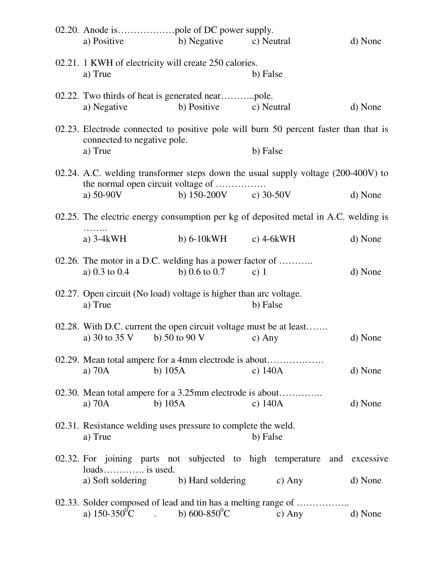| a) Positive                                                                                                                              |           | b) Negative               | c) Neutral |                | d) None |
|------------------------------------------------------------------------------------------------------------------------------------------|-----------|---------------------------|------------|----------------|---------|
| 02.21. 1 KWH of electricity will create 250 calories.<br>a) True                                                                         |           |                           | b) False   |                |         |
| a) Negative                                                                                                                              |           | b) Positive               | c) Neutral |                | d) None |
| 02.23. Electrode connected to positive pole will burn 50 percent faster than that is<br>connected to negative pole.<br>a) True           |           |                           | b) False   |                |         |
| 02.24. A.C. welding transformer steps down the usual supply voltage (200-400V) to<br>the normal open circuit voltage of<br>a) $50-90V$   |           | b) $150-200V$ c) $30-50V$ |            |                | d) None |
| 02.25. The electric energy consumption per kg of deposited metal in A.C. welding is                                                      |           |                           |            |                |         |
| a) $3-4kWH$                                                                                                                              |           | b) $6-10kWH$ c) $4-6kWH$  |            |                | d) None |
| 02.26. The motor in a D.C. welding has a power factor of<br>a) 0.3 to 0.4                                                                |           | b) $0.6$ to $0.7$         | c) $1$     |                | d) None |
| 02.27. Open circuit (No load) voltage is higher than arc voltage.<br>a) True                                                             |           |                           | b) False   |                |         |
| 02.28. With D.C. current the open circuit voltage must be at least<br>a) 30 to 35 V                                                      |           | b) 50 to 90 V             | c) Any     |                | d) None |
| 02.29. Mean total ampere for a 4mm electrode is about<br>a) $70A$                                                                        | b) $105A$ |                           | c) $140A$  |                | d) None |
| 02.30. Mean total ampere for a 3.25mm electrode is about<br>a) $70A$                                                                     | b) $105A$ |                           | c) $140A$  |                | d) None |
| 02.31. Resistance welding uses pressure to complete the weld.<br>a) True                                                                 |           |                           | b) False   |                |         |
| 02.32. For joining parts not subjected to high temperature and excessive<br>loads is used.<br>a) Soft soldering b) Hard soldering c) Any |           |                           |            |                | d) None |
| 02.33. Solder composed of lead and tin has a melting range of<br>a) $150-350^{\circ}\text{C}$ . b) $600-850^{\circ}\text{C}$             |           |                           |            | c) Any d) None |         |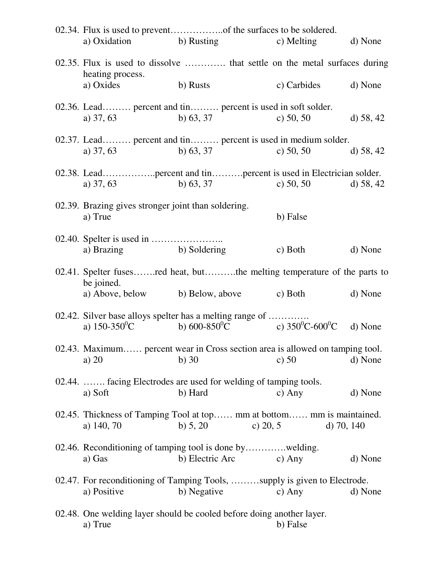| a) Oxidation                                                   | b) Rusting                                                                                                               | c) Melting   | d) None     |
|----------------------------------------------------------------|--------------------------------------------------------------------------------------------------------------------------|--------------|-------------|
| heating process.                                               | 02.35. Flux is used to dissolve  that settle on the metal surfaces during                                                |              |             |
| a) Oxides                                                      | b) Rusts                                                                                                                 | c) Carbides  | d) None     |
| a) $37, 63$                                                    | 02.36. Lead percent and tin percent is used in soft solder.<br>b) $63, 37$                                               | c) $50, 50$  | d) $58, 42$ |
| a) $37, 63$                                                    | 02.37. Lead percent and tin percent is used in medium solder.<br>b) $63, 37$                                             | c) $50, 50$  | d) $58, 42$ |
| a) $37, 63$                                                    | b) $63, 37$                                                                                                              | c) $50, 50$  | d) $58, 42$ |
| 02.39. Brazing gives stronger joint than soldering.<br>a) True |                                                                                                                          | b) False     |             |
| a) Brazing b) Soldering                                        |                                                                                                                          | c) Both      | d) None     |
| be joined.                                                     | 02.41. Spelter fusesred heat, butthe melting temperature of the parts to                                                 |              |             |
|                                                                | a) Above, below b) Below, above c) Both                                                                                  |              | d) None     |
| a) $150-350^{\circ}$ C                                         | 02.42. Silver base alloys spelter has a melting range of<br>b) $600-850^{\circ}$ C c) $350^{\circ}$ C-600 <sup>°</sup> C |              | d) None     |
| a) 20                                                          | 02.43. Maximum percent wear in Cross section area is allowed on tamping tool.<br>$b)$ 30                                 | c) $50$      | d) None     |
| a) Soft                                                        | 02.44.  facing Electrodes are used for welding of tamping tools.<br>b) Hard                                              | c) Any       | d) None     |
| a) 140, 70                                                     | 02.45. Thickness of Tamping Tool at top mm at bottom mm is maintained.<br>b) $5, 20$<br>c) $20, 5$                       | d) $70, 140$ |             |
| a) Gas                                                         | 02.46. Reconditioning of tamping tool is done bywelding.<br>b) Electric Arc                                              | c) Any       | d) None     |
| a) Positive                                                    | 02.47. For reconditioning of Tamping Tools, supply is given to Electrode.<br>b) Negative                                 | c) Any       | d) None     |
| a) True                                                        | 02.48. One welding layer should be cooled before doing another layer.                                                    | b) False     |             |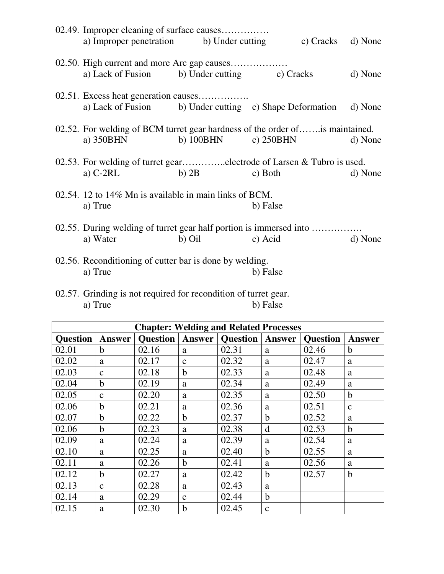| 02.49. Improper cleaning of surface causes                                                 |                         |          |                   |         |
|--------------------------------------------------------------------------------------------|-------------------------|----------|-------------------|---------|
| a) Improper penetration b) Under cutting                                                   |                         |          | c) Cracks d) None |         |
|                                                                                            |                         |          |                   |         |
| a) Lack of Fusion b) Under cutting c) Cracks                                               |                         |          |                   | d) None |
| 02.51. Excess heat generation causes                                                       |                         |          |                   |         |
| a) Lack of Fusion b) Under cutting c) Shape Deformation d) None                            |                         |          |                   |         |
| 02.52. For welding of BCM turret gear hardness of the order of is maintained.<br>a) 350BHN | b) $100BHN$ c) $250BHN$ |          |                   | d) None |
|                                                                                            |                         |          |                   |         |
| 02.53. For welding of turret gearelectrode of Larsen & Tubro is used.                      |                         |          |                   |         |
| a) $C-2RL$                                                                                 | $b)$ 2B                 | c) Both  |                   | d) None |
| 02.54. 12 to $14\%$ Mn is available in main links of BCM.                                  |                         |          |                   |         |
| a) True                                                                                    |                         | b) False |                   |         |
| 02.55. During welding of turret gear half portion is immersed into                         |                         |          |                   |         |
| a) Water                                                                                   | b) Oil                  | c) Acid  |                   | d) None |
| 02.56. Reconditioning of cutter bar is done by welding.                                    |                         |          |                   |         |
| a) True                                                                                    |                         | b) False |                   |         |

02.57. Grinding is not required for recondition of turret gear. a) True b) False

| <b>Chapter: Welding and Related Processes</b> |               |                 |               |                 |              |                 |              |
|-----------------------------------------------|---------------|-----------------|---------------|-----------------|--------------|-----------------|--------------|
| <b>Question</b>                               | <b>Answer</b> | <b>Question</b> | <b>Answer</b> | <b>Question</b> | Answer       | <b>Question</b> | Answer       |
| 02.01                                         | $\mathbf b$   | 02.16           | a             | 02.31           | a            | 02.46           | $\mathbf b$  |
| 02.02                                         | a             | 02.17           | $\mathbf{C}$  | 02.32           | a            | 02.47           | a            |
| 02.03                                         | $\mathbf{C}$  | 02.18           | $\mathbf b$   | 02.33           | a            | 02.48           | a            |
| 02.04                                         | $\mathbf b$   | 02.19           | a             | 02.34           | a            | 02.49           | a            |
| 02.05                                         | $\mathbf{C}$  | 02.20           | a             | 02.35           | a            | 02.50           | b            |
| 02.06                                         | $\mathbf b$   | 02.21           | a             | 02.36           | a            | 02.51           | $\mathbf{C}$ |
| 02.07                                         | $\mathbf b$   | 02.22           | $\mathbf b$   | 02.37           | $\mathbf b$  | 02.52           | a            |
| 02.06                                         | $\mathbf b$   | 02.23           | a             | 02.38           | d            | 02.53           | $\mathbf b$  |
| 02.09                                         | a             | 02.24           | a             | 02.39           | a            | 02.54           | a            |
| 02.10                                         | a             | 02.25           | a             | 02.40           | $\mathbf b$  | 02.55           | a            |
| 02.11                                         | a             | 02.26           | $\mathbf b$   | 02.41           | a            | 02.56           | a            |
| 02.12                                         | $\mathbf b$   | 02.27           | a             | 02.42           | $\mathbf b$  | 02.57           | $\mathbf b$  |
| 02.13                                         | $\mathbf{C}$  | 02.28           | a             | 02.43           | a            |                 |              |
| 02.14                                         | a             | 02.29           | $\mathbf{C}$  | 02.44           | $\mathbf b$  |                 |              |
| 02.15                                         | a             | 02.30           | b             | 02.45           | $\mathbf{C}$ |                 |              |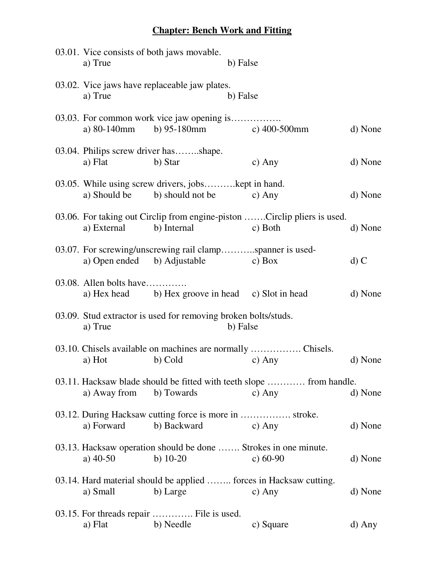## **Chapter: Bench Work and Fitting**

| a) True                       | 03.01. Vice consists of both jaws movable.                             | b) False |                                                                                     |         |
|-------------------------------|------------------------------------------------------------------------|----------|-------------------------------------------------------------------------------------|---------|
| a) True                       | 03.02. Vice jaws have replaceable jaw plates.                          | b) False |                                                                                     |         |
| a) 80-140mm                   | 03.03. For common work vice jaw opening is<br>b) $95-180$ mm           |          | c) $400-500$ mm                                                                     | d) None |
| a) Flat                       | 03.04. Philips screw driver hasshape.<br>b) Star                       |          | c) Any                                                                              | d) None |
| a) Should be b) should not be | 03.05. While using screw drivers, jobskept in hand.                    |          | $c)$ Any                                                                            | d) None |
| a) External                   | b) Internal                                                            |          | 03.06. For taking out Circlip from engine-piston Circlip pliers is used.<br>c) Both | d) None |
| a) Open ended b) Adjustable   | 03.07. For screwing/unscrewing rail clampspanner is used-              |          | $\cos$ Box                                                                          | $d)$ C  |
| 03.08. Allen bolts have       | a) Hex head b) Hex groove in head c) Slot in head                      |          |                                                                                     | d) None |
| a) True                       | 03.09. Stud extractor is used for removing broken bolts/studs.         | b) False |                                                                                     |         |
| a) Hot                        | b) Cold                                                                |          | 03.10. Chisels available on machines are normally  Chisels.<br>c) Any               | d) None |
| a) Away from b) Towards       |                                                                        |          | 03.11. Hacksaw blade should be fitted with teeth slope  from handle.<br>c) Any      | d) None |
| a) Forward                    | 03.12. During Hacksaw cutting force is more in  stroke.<br>b) Backward |          | c) Any                                                                              | d) None |
| a) $40-50$                    | b) $10-20$                                                             |          | 03.13. Hacksaw operation should be done  Strokes in one minute.<br>c) $60-90$       | d) None |
| a) Small                      | b) Large                                                               |          | 03.14. Hard material should be applied  forces in Hacksaw cutting.<br>c) Any        | d) None |
| a) Flat                       | 03.15. For threads repair  File is used.<br>b) Needle                  |          | c) Square                                                                           | d) Any  |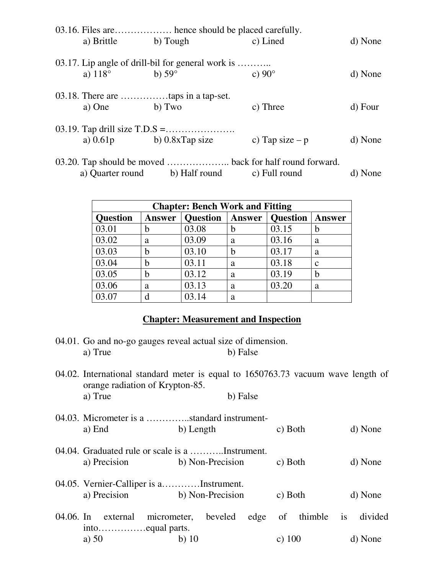|                | 03.16. Files are hence should be placed carefully. |                  |         |
|----------------|----------------------------------------------------|------------------|---------|
| a) Brittle     | b) Tough                                           | c) Lined         | d) None |
|                | 03.17. Lip angle of drill-bil for general work is  |                  |         |
| a) $118^\circ$ | b) $59^\circ$                                      | c) $90^\circ$    | d) None |
|                |                                                    |                  |         |
|                |                                                    |                  |         |
| a) One         | b) Two                                             | c) Three         | d) Four |
|                |                                                    |                  |         |
| a) $0.61p$     | b) $0.8x$ Tap size                                 | c) Tap size $-p$ | d) None |
|                |                                                    |                  |         |
|                |                                                    |                  |         |

|                  |               | $5.20.$ Tap should be moved $\ldots$ back for half found forward. |         |
|------------------|---------------|-------------------------------------------------------------------|---------|
| a) Quarter round | b) Half round | c) Full round                                                     | d) None |

| <b>Chapter: Bench Work and Fitting</b> |               |                          |   |                 |               |  |  |  |  |
|----------------------------------------|---------------|--------------------------|---|-----------------|---------------|--|--|--|--|
| <b>Question</b>                        | <b>Answer</b> | <b>Question</b>   Answer |   | <b>Question</b> | <b>Answer</b> |  |  |  |  |
| 03.01                                  |               | 03.08                    | h | 03.15           |               |  |  |  |  |
| 03.02                                  | a             | 03.09                    | a | 03.16           | a             |  |  |  |  |
| 03.03                                  | h             | 03.10                    | b | 03.17           | a             |  |  |  |  |
| 03.04                                  | h             | 03.11                    | a | 03.18           | C             |  |  |  |  |
| 03.05                                  | h             | 03.12                    | a | 03.19           | b             |  |  |  |  |
| 03.06                                  | a             | 03.13                    | a | 03.20           | a             |  |  |  |  |
| 03.07                                  | d             | 03.14                    | a |                 |               |  |  |  |  |

#### **Chapter: Measurement and Inspection**

- 04.01. Go and no-go gauges reveal actual size of dimension. a) True b) False
- 04.02. International standard meter is equal to 1650763.73 vacuum wave length of orange radiation of Krypton-85. a) True b) False 04.03. Micrometer is a …………..standard instrumenta) End b) Length c) Both d) None
- 04.04. Graduated rule or scale is a ………..Instrument. a) Precision b) Non-Precision c) Both d) None
- 04.05. Vernier-Calliper is a…………Instrument. a) Precision b) Non-Precision c) Both d) None
- 04.06. In external micrometer, beveled edge of thimble is divided into……………equal parts. a) 50 b) 10 c) 100 d) None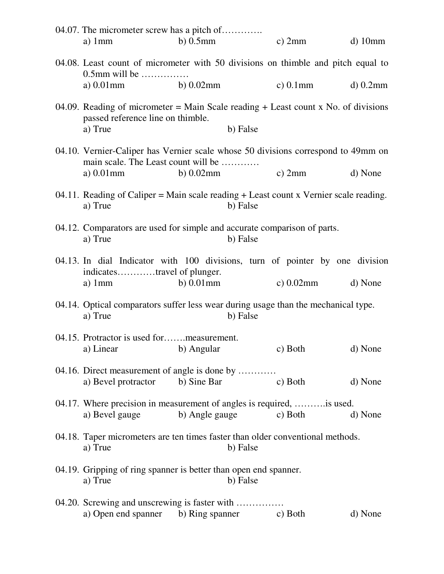| 04.07. The micrometer screw has a pitch of<br>a) $1mm$                                                                                   | $b)$ 0.5 $mm$  |          | c) $2mm$     | $d)$ 10mm  |
|------------------------------------------------------------------------------------------------------------------------------------------|----------------|----------|--------------|------------|
| 04.08. Least count of micrometer with 50 divisions on thimble and pitch equal to                                                         |                |          |              |            |
| 0.5mm will be<br>a) 0.01mm b) 0.02mm                                                                                                     |                |          | c) $0.1$ mm  | $d)$ 0.2mm |
| 04.09. Reading of micrometer = Main Scale reading $+$ Least count x No. of divisions<br>passed reference line on thimble.<br>a) True     |                | b) False |              |            |
| 04.10. Vernier-Caliper has Vernier scale whose 50 divisions correspond to 49mm on<br>main scale. The Least count will be<br>a) $0.01$ mm | $b)$ 0.02 $mm$ |          | $c)$ 2mm     | d) None    |
| 04.11. Reading of Caliper = Main scale reading $+$ Least count x Vernier scale reading.<br>a) True                                       |                | b) False |              |            |
| 04.12. Comparators are used for simple and accurate comparison of parts.<br>a) True                                                      |                | b) False |              |            |
| 04.13. In dial Indicator with 100 divisions, turn of pointer by one division<br>indicatestravel of plunger.<br>a) $1mm$                  | $b)$ 0.01 $mm$ |          | c) $0.02$ mm | d) None    |
| 04.14. Optical comparators suffer less wear during usage than the mechanical type.<br>a) True                                            |                | b) False |              |            |
| 04.15. Protractor is used formeasurement.<br>a) Linear b) Angular                                                                        |                |          | c) Both      | d) None    |
| 04.16. Direct measurement of angle is done by<br>a) Bevel protractor b) Sine Bar                                                         |                |          | c) Both      | d) None    |
| 04.17. Where precision in measurement of angles is required,  is used.<br>a) Bevel gauge                                                 | b) Angle gauge |          | c) Both      | d) None    |
| 04.18. Taper micrometers are ten times faster than older conventional methods.<br>a) True                                                |                | b) False |              |            |
| 04.19. Gripping of ring spanner is better than open end spanner.<br>a) True                                                              |                | b) False |              |            |
| 04.20. Screwing and unscrewing is faster with<br>a) Open end spanner b) Ring spanner c) Both                                             |                |          |              | d) None    |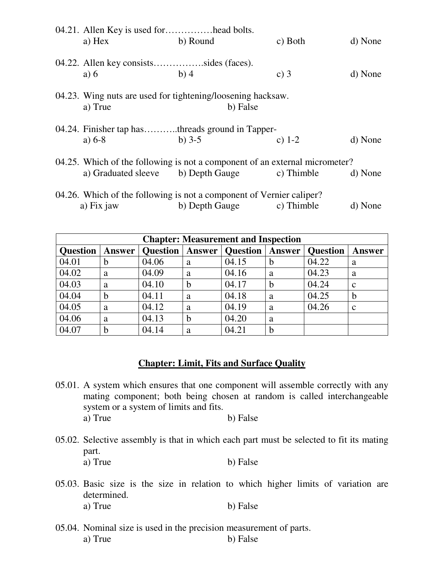| 04.21. Allen Key is used forhead bolts. |                                                                             |            |         |
|-----------------------------------------|-----------------------------------------------------------------------------|------------|---------|
| a) Hex                                  | b) Round                                                                    | c) Both    | d) None |
|                                         |                                                                             |            |         |
| 04.22. Allen key consistssides (faces). |                                                                             |            |         |
| a) $6$                                  | $b)$ 4                                                                      | c) $3$     | d) None |
|                                         |                                                                             |            |         |
|                                         | 04.23. Wing nuts are used for tightening/loosening hacksaw.                 |            |         |
| a) True                                 | b) False                                                                    |            |         |
|                                         |                                                                             |            |         |
|                                         | 04.24. Finisher tap hasthreads ground in Tapper-                            |            |         |
| a) $6-8$                                | b) $3-5$                                                                    | c) $1-2$   | d) None |
|                                         |                                                                             |            |         |
|                                         | 04.25. Which of the following is not a component of an external micrometer? |            |         |
|                                         | a) Graduated sleeve b) Depth Gauge                                          | c) Thimble | d) None |
|                                         |                                                                             |            |         |
|                                         | 04.26. Which of the following is not a component of Vernier caliper?        |            |         |
| a) Fix jaw                              | b) Depth Gauge                                                              | c) Thimble | d) None |

| <b>Chapter: Measurement and Inspection</b> |             |       |   |                                     |               |                 |              |  |  |
|--------------------------------------------|-------------|-------|---|-------------------------------------|---------------|-----------------|--------------|--|--|
| <b>Question</b>                            | Answer      |       |   | <b>Question</b>   Answer   Question | <b>Answer</b> | <b>Question</b> | Answer       |  |  |
| 04.01                                      | b           | 04.06 | a | 04.15                               | b             | 04.22           | a            |  |  |
| 04.02                                      | a           | 04.09 | a | 04.16                               | a             | 04.23           | a            |  |  |
| 04.03                                      | a           | 04.10 | b | 04.17                               | b             | 04.24           | $\mathbf{c}$ |  |  |
| 04.04                                      | $\mathbf b$ | 04.11 | a | 04.18                               | a             | 04.25           | $\mathbf b$  |  |  |
| 04.05                                      | a           | 04.12 | a | 04.19                               | a             | 04.26           | $\mathbf{c}$ |  |  |
| 04.06                                      | a           | 04.13 | b | 04.20                               | a             |                 |              |  |  |
| 04.07                                      | b           | 04.14 | a | 04.21                               | b             |                 |              |  |  |

#### **Chapter: Limit, Fits and Surface Quality**

- 05.01. A system which ensures that one component will assemble correctly with any mating component; both being chosen at random is called interchangeable system or a system of limits and fits. a) True b) False
- 05.02. Selective assembly is that in which each part must be selected to fit its mating part. a) True b) False
- 05.03. Basic size is the size in relation to which higher limits of variation are determined. a) True b) False
- 05.04. Nominal size is used in the precision measurement of parts. a) True b) False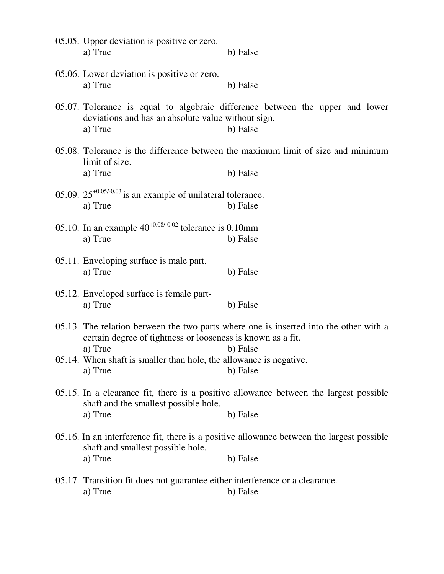| 05.05. Upper deviation is positive or zero.<br>a) True                                   | b) False                                                                                              |
|------------------------------------------------------------------------------------------|-------------------------------------------------------------------------------------------------------|
| 05.06. Lower deviation is positive or zero.<br>a) True                                   | b) False                                                                                              |
| deviations and has an absolute value without sign.<br>a) True                            | 05.07. Tolerance is equal to algebraic difference between the upper and lower<br>b) False             |
| limit of size.<br>a) True                                                                | 05.08. Tolerance is the difference between the maximum limit of size and minimum<br>b) False          |
| 05.09. $25^{+0.05/-0.03}$ is an example of unilateral tolerance.<br>a) True              | b) False                                                                                              |
| 05.10. In an example $40^{+0.08/-0.02}$ tolerance is 0.10mm<br>a) True                   | b) False                                                                                              |
| 05.11. Enveloping surface is male part.<br>a) True                                       | b) False                                                                                              |
| 05.12. Enveloped surface is female part-<br>a) True                                      | b) False                                                                                              |
| certain degree of tightness or looseness is known as a fit.                              | 05.13. The relation between the two parts where one is inserted into the other with a                 |
| a) True<br>05.14. When shaft is smaller than hole, the allowance is negative.<br>a) True | b) False<br>b) False                                                                                  |
| shaft and the smallest possible hole.                                                    | 05.15. In a clearance fit, there is a positive allowance between the largest possible                 |
| a) True                                                                                  | b) False<br>05.16. In an interference fit, there is a positive allowance between the largest possible |
| shaft and smallest possible hole.<br>a) True                                             | b) False                                                                                              |
| 05.17. Transition fit does not guarantee either interference or a clearance.<br>a) True  | b) False                                                                                              |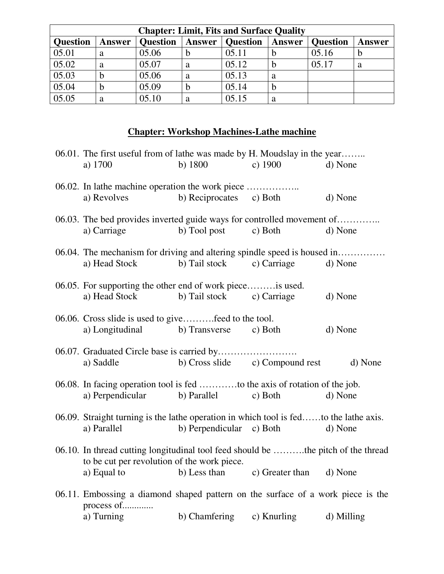| <b>Chapter: Limit, Fits and Surface Quality</b> |               |                 |        |                 |               |                 |               |  |  |  |
|-------------------------------------------------|---------------|-----------------|--------|-----------------|---------------|-----------------|---------------|--|--|--|
| <b>Question</b>                                 | <b>Answer</b> | <b>Question</b> | Answer | <b>Question</b> | <b>Answer</b> | <b>Question</b> | <b>Answer</b> |  |  |  |
| 05.01                                           | a             | 05.06           | n      | 05.11           |               | 05.16           | Ð             |  |  |  |
| 05.02                                           | a             | 05.07           | a      | 05.12           |               | 05.17           | a             |  |  |  |
| 05.03                                           |               | 05.06           | a      | 05.13           | a             |                 |               |  |  |  |
| 05.04                                           |               | 05.09           | h      | 05.14           | b             |                 |               |  |  |  |
| 05.05                                           | a             | 05.10           | а      | 05.15           | a             |                 |               |  |  |  |

# **Chapter: Workshop Machines-Lathe machine**

| 06.01. The first useful from of lathe was made by H. Moudslay in the year<br>a) 1700                                             | b) $1800$                | c) $1900$                            | d) None |
|----------------------------------------------------------------------------------------------------------------------------------|--------------------------|--------------------------------------|---------|
| 06.02. In lathe machine operation the work piece<br>a) Revolves                                                                  | b) Reciprocates c) Both  |                                      | d) None |
| 06.03. The bed provides inverted guide ways for controlled movement of<br>a) Carriage                                            | b) Tool post             | c) Both                              | d) None |
| 06.04. The mechanism for driving and altering spindle speed is housed in<br>a) Head Stock                                        | b) Tail stock            | c) Carriage                          | d) None |
| 06.05. For supporting the other end of work piece is used.<br>a) Head Stock                                                      | b) Tail stock            | c) Carriage                          | d) None |
| 06.06. Cross slide is used to givefeed to the tool.<br>a) Longitudinal b) Transverse                                             |                          | c) Both                              | d) None |
| a) Saddle                                                                                                                        |                          | b) Cross slide c) Compound rest      | d) None |
| 06.08. In facing operation tool is fed to the axis of rotation of the job.<br>a) Perpendicular                                   | b) Parallel              | c) Both                              | d) None |
| 06.09. Straight turning is the lathe operation in which tool is fedto the lathe axis.<br>a) Parallel                             | b) Perpendicular c) Both |                                      | d) None |
| 06.10. In thread cutting longitudinal tool feed should be the pitch of the thread<br>to be cut per revolution of the work piece. |                          |                                      |         |
| a) Equal to<br>06.11. Embossing a diamond shaped pattern on the surface of a work piece is the<br>process of                     |                          | b) Less than c) Greater than d) None |         |

a) Turning b) Chamfering c) Knurling d) Milling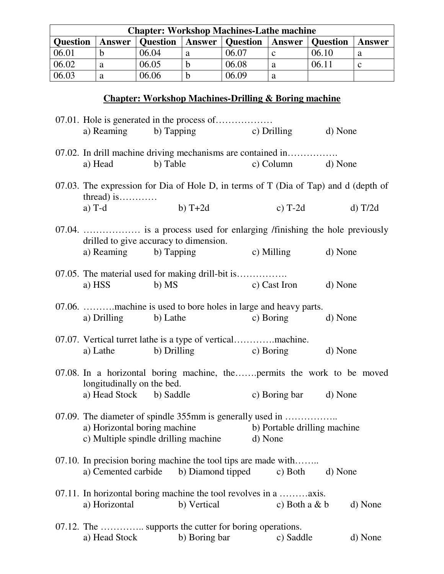| <b>Chapter: Workshop Machines-Lathe machine</b> |        |                 |           |                 |               |                 |        |  |
|-------------------------------------------------|--------|-----------------|-----------|-----------------|---------------|-----------------|--------|--|
| <b>Ouestion</b>                                 | Answer | <b>Question</b> | $A$ nswer | <b>Question</b> | <b>Answer</b> | <b>Question</b> | Answer |  |
| 06.01                                           |        | 06.04           | а         | 06.07           |               | 06.10           | a      |  |
| 06.02                                           | a      | 06.05           | b         | 06.08           | a             | 06.11           | C      |  |
| 06.03                                           | a      | 06.06           | b         | 06.09           | a             |                 |        |  |

## **Chapter: Workshop Machines-Drilling & Boring machine**

|                              | a) Reaming b) Tapping c) Drilling d) None                                                                        |                              |         |
|------------------------------|------------------------------------------------------------------------------------------------------------------|------------------------------|---------|
| a) Head                      | 07.02. In drill machine driving mechanisms are contained in<br>b) Table                                          | c) Column d) None            |         |
|                              | 07.03. The expression for Dia of Hole D, in terms of T (Dia of Tap) and d (depth of                              |                              |         |
| $thread)$ is<br>a) $T-d$     | $b) T+2d$                                                                                                        | c) $T-2d$                    | d) T/2d |
|                              | 07.04.  is a process used for enlarging /finishing the hole previously<br>drilled to give accuracy to dimension. |                              |         |
| a) Reaming b) Tapping        |                                                                                                                  | c) Milling d) None           |         |
| a) HSS                       | 07.05. The material used for making drill-bit is<br>b) MS                                                        | c) Cast Iron d) None         |         |
| a) Drilling b) Lathe         | 07.06. machine is used to bore holes in large and heavy parts.                                                   | c) Boring                    | d) None |
|                              | a) Lathe b) Drilling                                                                                             | c) Boring d) None            |         |
| longitudinally on the bed.   | 07.08. In a horizontal boring machine, thepermits the work to be moved                                           |                              |         |
| a) Head Stock b) Saddle      |                                                                                                                  | c) Boring bar d) None        |         |
| a) Horizontal boring machine | 07.09. The diameter of spindle 355mm is generally used in<br>c) Multiple spindle drilling machine d) None        | b) Portable drilling machine |         |
| a) Cemented carbide          | 07.10. In precision boring machine the tool tips are made with<br>b) Diamond tipped                              | c) Both                      | d) None |
| a) Horizontal                | 07.11. In horizontal boring machine the tool revolves in a axis.<br>b) Vertical                                  | c) Both a $&$ b              | d) None |
| a) Head Stock                | 07.12. The  supports the cutter for boring operations.<br>b) Boring bar                                          | c) Saddle                    | d) None |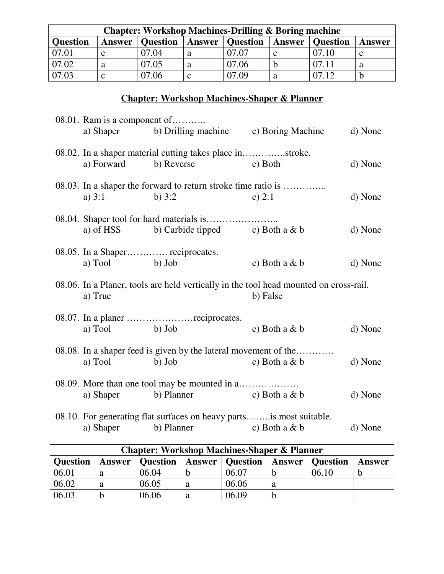| <b>Chapter: Workshop Machines-Drilling &amp; Boring machine</b> |               |                 |        |                 |        |                 |        |
|-----------------------------------------------------------------|---------------|-----------------|--------|-----------------|--------|-----------------|--------|
| <b>Question</b>                                                 | <b>Answer</b> | <b>Question</b> | Answer | <b>Question</b> | Answer | <b>Question</b> | Answer |
| 07.01                                                           |               | 07.04           | a      | 07.07           |        | 07.10           |        |
| 07.02                                                           | a             | 07.05           | a      | 07.06           |        | 07.11           |        |
| 07.03                                                           |               | 07.06           |        | 07.09           | a      | 07.12           |        |

# **Chapter: Workshop Machines-Shaper & Planner**

| 08.01. Ram is a component of | a) Shaper b) Drilling machine c) Boring Machine                                       |                       | d) None |
|------------------------------|---------------------------------------------------------------------------------------|-----------------------|---------|
| a) Forward                   | 08.02. In a shaper material cutting takes place instroke.<br>b) Reverse               | c) Both               | d) None |
| a) $3:1$                     | 08.03. In a shaper the forward to return stroke time ratio is<br>b) $3:2$             | c) $2:1$              | d) None |
|                              | a) of HSS b) Carbide tipped c) Both a $& b$                                           |                       | d) None |
| a) Tool b) Job               | 08.05. In a Shaper reciprocates.                                                      | c) Both a $&$ b       | d) None |
| a) True                      | 08.06. In a Planer, tools are held vertically in the tool head mounted on cross-rail. | b) False              |         |
| b) Job<br>a) Tool            |                                                                                       | c) Both a $& b$       | d) None |
| a) Tool                      | 08.08. In a shaper feed is given by the lateral movement of the<br>b) Job             | c) Both a $&$ b       | d) None |
| a) Shaper                    | 08.09. More than one tool may be mounted in a<br>b) Planner                           | $\alpha$ ) Both a & b | d) None |
| a) Shaper                    | 08.10. For generating flat surfaces on heavy partsis most suitable.<br>b) Planner     | c) Both a $&$ b       | d) None |
|                              |                                                                                       |                       |         |

| <b>Chapter: Workshop Machines-Shaper &amp; Planner</b> |               |                 |   |                          |               |          |        |  |
|--------------------------------------------------------|---------------|-----------------|---|--------------------------|---------------|----------|--------|--|
| <b>Question</b>                                        | <b>Answer</b> | <b>Question</b> |   | <b>Answer</b>   Question | <b>Answer</b> | Question | Answer |  |
| 06.01                                                  |               | 06.04           |   | 06.07                    |               | 06.10    |        |  |
| 06.02                                                  | а             | 06.05           | а | 06.06                    | a             |          |        |  |
| 06.03                                                  |               | 06.06           |   | 06.09                    | b             |          |        |  |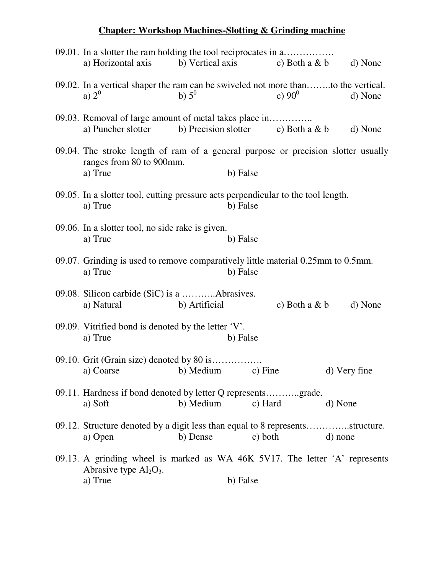## **Chapter: Workshop Machines-Slotting & Grinding machine**

| 09.01. In a slotter the ram holding the tool reciprocates in a<br>a) Horizontal axis                                     | b) Vertical axis     |          | c) Both a $& b$  | d) None      |
|--------------------------------------------------------------------------------------------------------------------------|----------------------|----------|------------------|--------------|
| 09.02. In a vertical shaper the ram can be swiveled not more thanto the vertical.<br>a) $2^0$                            | b) $5^0$             |          | c) $90^0$        | d) None      |
| 09.03. Removal of large amount of metal takes place in<br>a) Puncher slotter                                             | b) Precision slotter |          | c) Both a $\& b$ | d) None      |
| 09.04. The stroke length of ram of a general purpose or precision slotter usually<br>ranges from 80 to 900mm.<br>a) True |                      | b) False |                  |              |
| 09.05. In a slotter tool, cutting pressure acts perpendicular to the tool length.<br>a) True                             |                      | b) False |                  |              |
| 09.06. In a slotter tool, no side rake is given.<br>a) True                                                              |                      | b) False |                  |              |
| 09.07. Grinding is used to remove comparatively little material 0.25mm to 0.5mm.<br>a) True                              |                      | b) False |                  |              |
| a) Natural                                                                                                               | b) Artificial        |          | c) Both a $&$ b  | d) None      |
| 09.09. Vitrified bond is denoted by the letter $V'.$<br>a) True                                                          |                      | b) False |                  |              |
| 09.10. Grit (Grain size) denoted by 80 is<br>a) Coarse b) Medium c) Fine                                                 |                      |          |                  | d) Very fine |
| 09.11. Hardness if bond denoted by letter Q representsgrade.<br>a) Soft                                                  | b) Medium            | c) Hard  |                  | d) None      |
| 09.12. Structure denoted by a digit less than equal to 8 representsstructure.<br>a) Open                                 | b) Dense             | c) both  |                  | d) none      |
| 09.13. A grinding wheel is marked as WA 46K 5V17. The letter 'A' represents<br>Abrasive type $Al_2O_3$ .<br>a) True      |                      | b) False |                  |              |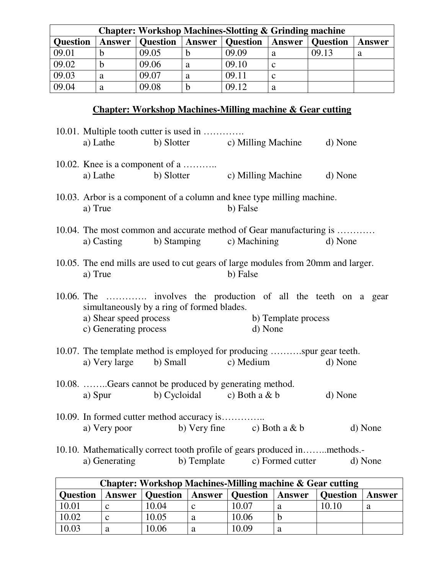|                 | <b>Chapter: Workshop Machines-Slotting &amp; Grinding machine</b> |                 |               |                 |              |                 |        |
|-----------------|-------------------------------------------------------------------|-----------------|---------------|-----------------|--------------|-----------------|--------|
| <b>Question</b> | <b>Answer</b>                                                     | <b>Question</b> | <b>Answer</b> | <b>Question</b> | Answer       | <b>Question</b> | Answer |
| 09.01           |                                                                   | 09.05           | b             | 09.09           | a            | 09.13           | a      |
| 09.02           |                                                                   | 09.06           | a             | 09.10           | C            |                 |        |
| 09.03           | a                                                                 | 09.07           | a             | 09.11           | <sub>c</sub> |                 |        |
| 09.04           | a                                                                 | 09.08           | b             | 09.12           | a            |                 |        |

# **Chapter: Workshop Machines-Milling machine & Gear cutting**

| a) Lathe                                        | 10.01. Multiple tooth cutter is used in<br>b) Slotter c) Milling Machine                                  |                                | d) None                                                                           |
|-------------------------------------------------|-----------------------------------------------------------------------------------------------------------|--------------------------------|-----------------------------------------------------------------------------------|
| 10.02. Knee is a component of a<br>a) Lathe     | b) Slotter c) Milling Machine d) None                                                                     |                                |                                                                                   |
| a) True                                         | 10.03. Arbor is a component of a column and knee type milling machine.                                    | b) False                       |                                                                                   |
| a) Casting                                      | b) Stamping c) Machining                                                                                  |                                | 10.04. The most common and accurate method of Gear manufacturing is<br>d) None    |
| a) True                                         |                                                                                                           | b) False                       | 10.05. The end mills are used to cut gears of large modules from 20mm and larger. |
| a) Shear speed process<br>c) Generating process | simultaneously by a ring of formed blades.                                                                | b) Template process<br>d) None | 10.06. The  involves the production of all the teeth on a gear                    |
|                                                 | 10.07. The template method is employed for producing spur gear teeth.<br>a) Very large b) Small c) Medium |                                | d) None                                                                           |
| a) Spur                                         | 10.08. Gears cannot be produced by generating method.<br>b) Cycloidal c) Both a $& b$                     |                                | d) None                                                                           |
|                                                 | 10.09. In formed cutter method accuracy is<br>a) Very poor b) Very fine c) Both a $& b$                   |                                | d) None                                                                           |
| a) Generating                                   | 10.10. Mathematically correct tooth profile of gears produced inmethods.-<br>b) Template c) Formed cutter |                                | d) None                                                                           |

|                 | <b>Chapter: Workshop Machines-Milling machine &amp; Gear cutting</b> |                 |        |                 |        |          |        |
|-----------------|----------------------------------------------------------------------|-----------------|--------|-----------------|--------|----------|--------|
| <b>Ouestion</b> | <b>Answer</b>                                                        | <b>Question</b> | Answer | <b>Question</b> | Answer | Question | Answer |
| 10.01           |                                                                      | 10.04           | $\sim$ | 10.07           | a      | 10.10    | a      |
| 10.02           |                                                                      | 10.05           | a      | 10.06           |        |          |        |
| 10.03           |                                                                      | 0.06            | a      | 0.09            | a      |          |        |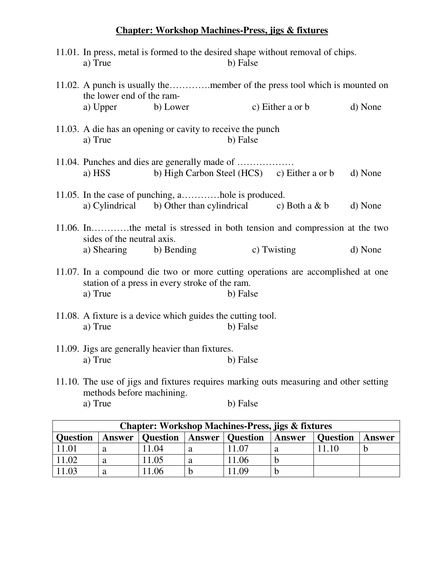### **Chapter: Workshop Machines-Press, jigs & fixtures**

| a) True                    |                                                                                                              | b) False | 11.01. In press, metal is formed to the desired shape without removal of chips. |         |
|----------------------------|--------------------------------------------------------------------------------------------------------------|----------|---------------------------------------------------------------------------------|---------|
| the lower end of the ram-  |                                                                                                              |          | 11.02. A punch is usually themember of the press tool which is mounted on       |         |
| a) Upper                   | b) Lower                                                                                                     |          | c) Either a or b                                                                | d) None |
| a) True                    | 11.03. A die has an opening or cavity to receive the punch                                                   | b) False |                                                                                 |         |
| a) HSS                     | b) High Carbon Steel (HCS) c) Either a or b                                                                  |          |                                                                                 | d) None |
|                            |                                                                                                              |          |                                                                                 |         |
|                            | 11.05. In the case of punching, ahole is produced.<br>a) Cylindrical b) Other than cylindrical c) Both a & b |          |                                                                                 | d) None |
| sides of the neutral axis. |                                                                                                              |          | 11.06. Inthe metal is stressed in both tension and compression at the two       |         |
| a) Shearing b) Bending     |                                                                                                              |          | c) Twisting                                                                     | d) None |
| a) True                    | station of a press in every stroke of the ram.                                                               | b) False | 11.07. In a compound die two or more cutting operations are accomplished at one |         |
| a) True                    | 11.08. A fixture is a device which guides the cutting tool.                                                  | b) False |                                                                                 |         |
| a) True                    | 11.09. Jigs are generally heavier than fixtures.                                                             | b) False |                                                                                 |         |
|                            |                                                                                                              |          |                                                                                 |         |

11.10. The use of jigs and fixtures requires marking outs measuring and other setting methods before machining.<br>a) True b) False

|                 | <b>Chapter: Workshop Machines-Press, jigs &amp; fixtures</b> |                          |   |                          |        |                 |        |
|-----------------|--------------------------------------------------------------|--------------------------|---|--------------------------|--------|-----------------|--------|
| <b>Question</b> |                                                              | <b>Answer</b>   Question |   | <b>Answer</b>   Question | Answer | <b>Question</b> | Answer |
| 11.01           | а                                                            | 11.04                    | a | .07                      | a      |                 |        |
| 11.02           | a                                                            | 11.05                    | a | 1.06                     | D      |                 |        |
| 1.03            | a                                                            | 1.06                     |   | .09                      |        |                 |        |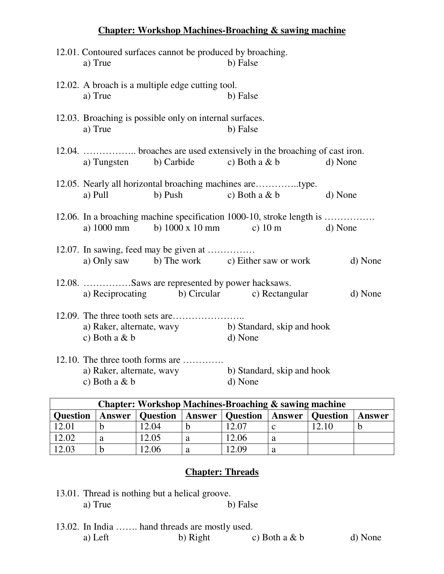|                                              | 12.01. Contoured surfaces cannot be produced by broaching. |                                                                                         |         |
|----------------------------------------------|------------------------------------------------------------|-----------------------------------------------------------------------------------------|---------|
| a) True                                      |                                                            | b) False                                                                                |         |
| a) True                                      | 12.02. A broach is a multiple edge cutting tool.           | b) False                                                                                |         |
| a) True                                      | 12.03. Broaching is possible only on internal surfaces.    | b) False                                                                                |         |
|                                              | a) Tungsten b) Carbide                                     | 12.04.  broaches are used extensively in the broaching of cast iron.<br>c) Both a $& b$ | d) None |
| a) Pull                                      | b) Push c) Both a $\& b$                                   |                                                                                         | d) None |
|                                              | a) 1000 mm b) 1000 x 10 mm c) 10 m                         | 12.06. In a broaching machine specification 1000-10, stroke length is                   | d) None |
|                                              | 12.07. In sawing, feed may be given at                     | a) Only saw b) The work c) Either saw or work                                           | d) None |
|                                              | 12.08. Saws are represented by power hacksaws.             | a) Reciprocating b) Circular c) Rectangular                                             | d) None |
| a) Raker, alternate, wavy<br>c) Both a $&$ b |                                                            | b) Standard, skip and hook<br>d) None                                                   |         |
| a) Raker, alternate, wavy<br>c) Both a & b   | 12.10. The three tooth forms are                           | b) Standard, skip and hook<br>d) None                                                   |         |

**Chapter: Workshop Machines-Broaching & sawing machine**

| <b>Chapter: Workshop Machines-Broaching &amp; sawing machine</b> |        |                 |  |                          |              |                 |        |
|------------------------------------------------------------------|--------|-----------------|--|--------------------------|--------------|-----------------|--------|
| <b>Question</b>                                                  | Answer | <b>Question</b> |  | <b>Answer</b>   Question | Answer       | <b>Question</b> | Answer |
| 12.01                                                            |        | 12.04           |  | 12.07                    | <sub>c</sub> | 12.10           |        |
| 12.02                                                            |        | 12.05           |  | 12.06                    | a            |                 |        |
| 12.03                                                            |        | 12.06           |  | 2.09                     | a            |                 |        |

### **Chapter: Threads**

- 13.01. Thread is nothing but a helical groove. a) True b) False
- 13.02. In India ……. hand threads are mostly used. a) Left b) Right c) Both a  $\& b$  d) None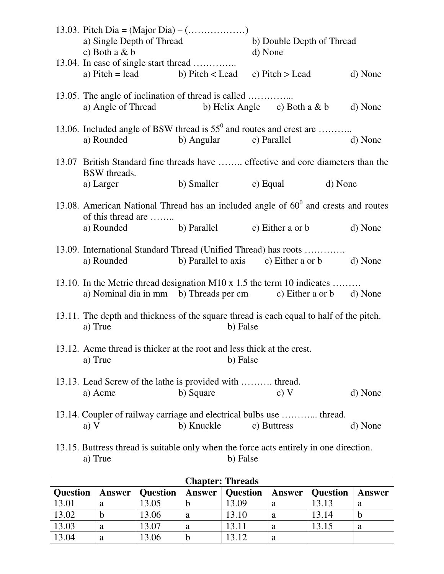| a) Single Depth of Thread                                                                |                              | b) Double Depth of Thread                                                                                                                  |         |
|------------------------------------------------------------------------------------------|------------------------------|--------------------------------------------------------------------------------------------------------------------------------------------|---------|
| c) Both a $&$ b                                                                          |                              | d) None                                                                                                                                    |         |
| 13.04. In case of single start thread<br>a) Pitch = lead b) Pitch < Lead c) Pitch > Lead |                              |                                                                                                                                            | d) None |
| 13.05. The angle of inclination of thread is called<br>a) Angle of Thread                |                              | b) Helix Angle $\qquad$ c) Both a & b                                                                                                      | d) None |
| a) Rounded                                                                               | b) Angular                   | 13.06. Included angle of BSW thread is $55^{\circ}$ and routes and crest are<br>c) Parallel                                                | d) None |
| <b>BSW</b> threads.                                                                      |                              | 13.07 British Standard fine threads have  effective and core diameters than the                                                            |         |
| a) Larger                                                                                | b) Smaller c) Equal          | d) None                                                                                                                                    |         |
| of this thread are                                                                       |                              | 13.08. American National Thread has an included angle of $60^{\circ}$ and crests and routes                                                |         |
| a) Rounded                                                                               | b) Parallel c) Either a or b |                                                                                                                                            | d) None |
| a) Rounded                                                                               |                              | 13.09. International Standard Thread (Unified Thread) has roots<br>b) Parallel to axis c) Either a or b                                    | d) None |
|                                                                                          |                              | 13.10. In the Metric thread designation M10 x 1.5 the term 10 indicates<br>a) Nominal dia in mm b) Threads per cm c) Either a or b d) None |         |
| a) True                                                                                  | b) False                     | 13.11. The depth and thickness of the square thread is each equal to half of the pitch.                                                    |         |
| 13.12. Acme thread is thicker at the root and less thick at the crest.<br>a) True        | b) False                     |                                                                                                                                            |         |
| 13.13. Lead Screw of the lathe is provided with  thread.<br>a) Acme                      | b) Square                    | c) V                                                                                                                                       | d) None |
| a) $V$                                                                                   | b) Knuckle                   | 13.14. Coupler of railway carriage and electrical bulbs use  thread.<br>c) Buttress                                                        | d) None |
|                                                                                          |                              | 13.15. Buttress thread is suitable only when the force acts entirely in one direction.                                                     |         |

a) True b) False

|                 |        |                 |               | <b>Chapter: Threads</b> |               |                 |        |
|-----------------|--------|-----------------|---------------|-------------------------|---------------|-----------------|--------|
| <b>Question</b> | Answer | <b>Question</b> | <b>Answer</b> | <b>Question</b>         | <b>Answer</b> | <b>Question</b> | Answer |
| 13.01           |        | 13.05           | D             | 13.09                   | a             | 13.13           | a      |
| 13.02           |        | 13.06           | a             | 13.10                   | a             | 13.14           |        |
| 13.03           | а      | 13.07           | a             | 13.11                   | a             | 13.15           | a      |
| 13.04           |        | 13.06           | D             | 13.12                   | a             |                 |        |